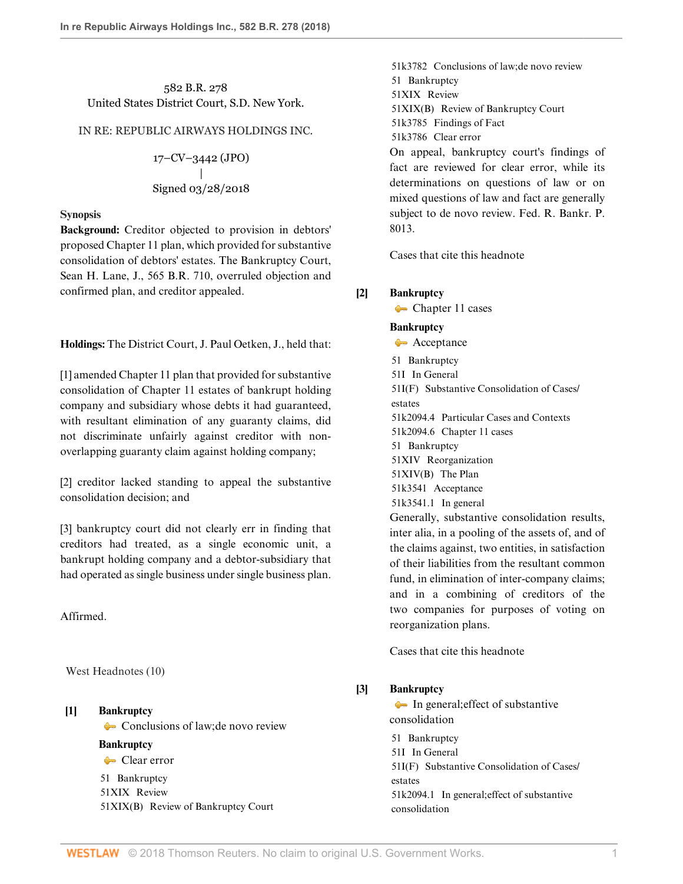# 582 B.R. 278 United States District Court, S.D. New York.

## IN RE: REPUBLIC AIRWAYS HOLDINGS INC.

17–CV–3442 (JPO) | Signed 03/28/2018

### **Synopsis**

**Background:** Creditor objected to provision in debtors' proposed Chapter 11 plan, which provided for substantive consolidation of debtors' estates. The Bankruptcy Court, [Sean H. Lane](http://www.westlaw.com/Link/Document/FullText?findType=h&pubNum=176284&cite=0435806201&originatingDoc=I623d8f7036cc11e89d46ed79fb792237&refType=RQ&originationContext=document&vr=3.0&rs=cblt1.0&transitionType=DocumentItem&contextData=(sc.DocLink)), J., [565 B.R. 710](http://www.westlaw.com/Link/Document/FullText?findType=Y&serNum=2041425628&pubNum=0000164&originatingDoc=I623d8f7036cc11e89d46ed79fb792237&refType=RP&originationContext=document&vr=3.0&rs=cblt1.0&transitionType=DocumentItem&contextData=(sc.DocLink)), overruled objection and confirmed plan, and creditor appealed.

**Holdings:** The District Court, [J. Paul Oetken](http://www.westlaw.com/Link/Document/FullText?findType=h&pubNum=176284&cite=0327718301&originatingDoc=I623d8f7036cc11e89d46ed79fb792237&refType=RQ&originationContext=document&vr=3.0&rs=cblt1.0&transitionType=DocumentItem&contextData=(sc.DocLink)), J., held that:

[\[1\]](#page-1-0) amended Chapter 11 plan that provided for substantive consolidation of Chapter 11 estates of bankrupt holding company and subsidiary whose debts it had guaranteed, with resultant elimination of any guaranty claims, did not discriminate unfairly against creditor with nonoverlapping guaranty claim against holding company;

[\[2\]](#page-1-1) creditor lacked standing to appeal the substantive consolidation decision; and

[\[3\]](#page-2-0) bankruptcy court did not clearly err in finding that creditors had treated, as a single economic unit, a bankrupt holding company and a debtor-subsidiary that had operated as single business under single business plan.

Affirmed.

West Headnotes (10)

# <span id="page-0-0"></span>**[\[1\]](#page-3-0) [Bankruptcy](http://www.westlaw.com/Browse/Home/KeyNumber/51/View.html?docGuid=I623d8f7036cc11e89d46ed79fb792237&originationContext=document&vr=3.0&rs=cblt1.0&transitionType=DocumentItem&contextData=(sc.DocLink))**

[Conclusions of law; de novo review](http://www.westlaw.com/Browse/Home/KeyNumber/51k3782/View.html?docGuid=I623d8f7036cc11e89d46ed79fb792237&originationContext=document&vr=3.0&rs=cblt1.0&transitionType=DocumentItem&contextData=(sc.DocLink))

## **[Bankruptcy](http://www.westlaw.com/Browse/Home/KeyNumber/51/View.html?docGuid=I623d8f7036cc11e89d46ed79fb792237&originationContext=document&vr=3.0&rs=cblt1.0&transitionType=DocumentItem&contextData=(sc.DocLink))**

[Clear error](http://www.westlaw.com/Browse/Home/KeyNumber/51k3786/View.html?docGuid=I623d8f7036cc11e89d46ed79fb792237&originationContext=document&vr=3.0&rs=cblt1.0&transitionType=DocumentItem&contextData=(sc.DocLink))

[51](http://www.westlaw.com/Browse/Home/KeyNumber/51/View.html?docGuid=I623d8f7036cc11e89d46ed79fb792237&originationContext=document&vr=3.0&rs=cblt1.0&transitionType=DocumentItem&contextData=(sc.DocLink)) Bankruptcy [51XIX](http://www.westlaw.com/Browse/Home/KeyNumber/51XIX/View.html?docGuid=I623d8f7036cc11e89d46ed79fb792237&originationContext=document&vr=3.0&rs=cblt1.0&transitionType=DocumentItem&contextData=(sc.DocLink)) Review [51XIX\(B\)](http://www.westlaw.com/Browse/Home/KeyNumber/51XIX(B)/View.html?docGuid=I623d8f7036cc11e89d46ed79fb792237&originationContext=document&vr=3.0&rs=cblt1.0&transitionType=DocumentItem&contextData=(sc.DocLink)) Review of Bankruptcy Court

[51k3782](http://www.westlaw.com/Browse/Home/KeyNumber/51k3782/View.html?docGuid=I623d8f7036cc11e89d46ed79fb792237&originationContext=document&vr=3.0&rs=cblt1.0&transitionType=DocumentItem&contextData=(sc.DocLink)) Conclusions of law; de novo review [51](http://www.westlaw.com/Browse/Home/KeyNumber/51/View.html?docGuid=I623d8f7036cc11e89d46ed79fb792237&originationContext=document&vr=3.0&rs=cblt1.0&transitionType=DocumentItem&contextData=(sc.DocLink)) Bankruptcy [51XIX](http://www.westlaw.com/Browse/Home/KeyNumber/51XIX/View.html?docGuid=I623d8f7036cc11e89d46ed79fb792237&originationContext=document&vr=3.0&rs=cblt1.0&transitionType=DocumentItem&contextData=(sc.DocLink)) Review [51XIX\(B\)](http://www.westlaw.com/Browse/Home/KeyNumber/51XIX(B)/View.html?docGuid=I623d8f7036cc11e89d46ed79fb792237&originationContext=document&vr=3.0&rs=cblt1.0&transitionType=DocumentItem&contextData=(sc.DocLink)) Review of Bankruptcy Court [51k3785](http://www.westlaw.com/Browse/Home/KeyNumber/51k3785/View.html?docGuid=I623d8f7036cc11e89d46ed79fb792237&originationContext=document&vr=3.0&rs=cblt1.0&transitionType=DocumentItem&contextData=(sc.DocLink)) Findings of Fact [51k3786](http://www.westlaw.com/Browse/Home/KeyNumber/51k3786/View.html?docGuid=I623d8f7036cc11e89d46ed79fb792237&originationContext=document&vr=3.0&rs=cblt1.0&transitionType=DocumentItem&contextData=(sc.DocLink)) Clear error On appeal, bankruptcy court's findings of

fact are reviewed for clear error, while its determinations on questions of law or on mixed questions of law and fact are generally subject to de novo review. [Fed. R. Bankr. P.](http://www.westlaw.com/Link/Document/FullText?findType=L&pubNum=1000611&cite=USFRBPR8013&originatingDoc=I623d8f7036cc11e89d46ed79fb792237&refType=LQ&originationContext=document&vr=3.0&rs=cblt1.0&transitionType=DocumentItem&contextData=(sc.DocLink)) [8013.](http://www.westlaw.com/Link/Document/FullText?findType=L&pubNum=1000611&cite=USFRBPR8013&originatingDoc=I623d8f7036cc11e89d46ed79fb792237&refType=LQ&originationContext=document&vr=3.0&rs=cblt1.0&transitionType=DocumentItem&contextData=(sc.DocLink))

[Cases that cite this headnote](http://www.westlaw.com/Link/RelatedInformation/DocHeadnoteLink?docGuid=I623d8f7036cc11e89d46ed79fb792237&headnoteId=204422162600120180423192151&originationContext=document&vr=3.0&rs=cblt1.0&transitionType=CitingReferences&contextData=(sc.DocLink))

# <span id="page-0-1"></span>**[\[2\]](#page-4-0) [Bankruptcy](http://www.westlaw.com/Browse/Home/KeyNumber/51/View.html?docGuid=I623d8f7036cc11e89d46ed79fb792237&originationContext=document&vr=3.0&rs=cblt1.0&transitionType=DocumentItem&contextData=(sc.DocLink))**

[Chapter 11 cases](http://www.westlaw.com/Browse/Home/KeyNumber/51k2094.6/View.html?docGuid=I623d8f7036cc11e89d46ed79fb792237&originationContext=document&vr=3.0&rs=cblt1.0&transitionType=DocumentItem&contextData=(sc.DocLink))

## **[Bankruptcy](http://www.westlaw.com/Browse/Home/KeyNumber/51/View.html?docGuid=I623d8f7036cc11e89d46ed79fb792237&originationContext=document&vr=3.0&rs=cblt1.0&transitionType=DocumentItem&contextData=(sc.DocLink))**

[Acceptance](http://www.westlaw.com/Browse/Home/KeyNumber/51k3541/View.html?docGuid=I623d8f7036cc11e89d46ed79fb792237&originationContext=document&vr=3.0&rs=cblt1.0&transitionType=DocumentItem&contextData=(sc.DocLink)) [51](http://www.westlaw.com/Browse/Home/KeyNumber/51/View.html?docGuid=I623d8f7036cc11e89d46ed79fb792237&originationContext=document&vr=3.0&rs=cblt1.0&transitionType=DocumentItem&contextData=(sc.DocLink)) Bankruptcy [51I](http://www.westlaw.com/Browse/Home/KeyNumber/51I/View.html?docGuid=I623d8f7036cc11e89d46ed79fb792237&originationContext=document&vr=3.0&rs=cblt1.0&transitionType=DocumentItem&contextData=(sc.DocLink)) In General [51I\(F\)](http://www.westlaw.com/Browse/Home/KeyNumber/51I(F)/View.html?docGuid=I623d8f7036cc11e89d46ed79fb792237&originationContext=document&vr=3.0&rs=cblt1.0&transitionType=DocumentItem&contextData=(sc.DocLink)) Substantive Consolidation of Cases/ estates [51k2094.4](http://www.westlaw.com/Browse/Home/KeyNumber/51k2094.4/View.html?docGuid=I623d8f7036cc11e89d46ed79fb792237&originationContext=document&vr=3.0&rs=cblt1.0&transitionType=DocumentItem&contextData=(sc.DocLink)) Particular Cases and Contexts [51k2094.6](http://www.westlaw.com/Browse/Home/KeyNumber/51k2094.6/View.html?docGuid=I623d8f7036cc11e89d46ed79fb792237&originationContext=document&vr=3.0&rs=cblt1.0&transitionType=DocumentItem&contextData=(sc.DocLink)) Chapter 11 cases [51](http://www.westlaw.com/Browse/Home/KeyNumber/51/View.html?docGuid=I623d8f7036cc11e89d46ed79fb792237&originationContext=document&vr=3.0&rs=cblt1.0&transitionType=DocumentItem&contextData=(sc.DocLink)) Bankruptcy [51XIV](http://www.westlaw.com/Browse/Home/KeyNumber/51XIV/View.html?docGuid=I623d8f7036cc11e89d46ed79fb792237&originationContext=document&vr=3.0&rs=cblt1.0&transitionType=DocumentItem&contextData=(sc.DocLink)) Reorganization [51XIV\(B\)](http://www.westlaw.com/Browse/Home/KeyNumber/51XIV(B)/View.html?docGuid=I623d8f7036cc11e89d46ed79fb792237&originationContext=document&vr=3.0&rs=cblt1.0&transitionType=DocumentItem&contextData=(sc.DocLink)) The Plan [51k3541](http://www.westlaw.com/Browse/Home/KeyNumber/51k3541/View.html?docGuid=I623d8f7036cc11e89d46ed79fb792237&originationContext=document&vr=3.0&rs=cblt1.0&transitionType=DocumentItem&contextData=(sc.DocLink)) Acceptance [51k3541.1](http://www.westlaw.com/Browse/Home/KeyNumber/51k3541.1/View.html?docGuid=I623d8f7036cc11e89d46ed79fb792237&originationContext=document&vr=3.0&rs=cblt1.0&transitionType=DocumentItem&contextData=(sc.DocLink)) In general Generally, substantive consolidation results, inter alia, in a pooling of the assets of, and of the claims against, two entities, in satisfaction of their liabilities from the resultant common fund, in elimination of inter-company claims; and in a combining of creditors of the two companies for purposes of voting on reorganization plans.

[Cases that cite this headnote](http://www.westlaw.com/Link/RelatedInformation/DocHeadnoteLink?docGuid=I623d8f7036cc11e89d46ed79fb792237&headnoteId=204422162600220180423192151&originationContext=document&vr=3.0&rs=cblt1.0&transitionType=CitingReferences&contextData=(sc.DocLink))

# <span id="page-0-2"></span>**[\[3\]](#page-4-1) [Bankruptcy](http://www.westlaw.com/Browse/Home/KeyNumber/51/View.html?docGuid=I623d8f7036cc11e89d46ed79fb792237&originationContext=document&vr=3.0&rs=cblt1.0&transitionType=DocumentItem&contextData=(sc.DocLink))**

[In general; effect of substantive](http://www.westlaw.com/Browse/Home/KeyNumber/51k2094.1/View.html?docGuid=I623d8f7036cc11e89d46ed79fb792237&originationContext=document&vr=3.0&rs=cblt1.0&transitionType=DocumentItem&contextData=(sc.DocLink)) [consolidation](http://www.westlaw.com/Browse/Home/KeyNumber/51k2094.1/View.html?docGuid=I623d8f7036cc11e89d46ed79fb792237&originationContext=document&vr=3.0&rs=cblt1.0&transitionType=DocumentItem&contextData=(sc.DocLink))

[51](http://www.westlaw.com/Browse/Home/KeyNumber/51/View.html?docGuid=I623d8f7036cc11e89d46ed79fb792237&originationContext=document&vr=3.0&rs=cblt1.0&transitionType=DocumentItem&contextData=(sc.DocLink)) Bankruptcy

[51I](http://www.westlaw.com/Browse/Home/KeyNumber/51I/View.html?docGuid=I623d8f7036cc11e89d46ed79fb792237&originationContext=document&vr=3.0&rs=cblt1.0&transitionType=DocumentItem&contextData=(sc.DocLink)) In General

[51I\(F\)](http://www.westlaw.com/Browse/Home/KeyNumber/51I(F)/View.html?docGuid=I623d8f7036cc11e89d46ed79fb792237&originationContext=document&vr=3.0&rs=cblt1.0&transitionType=DocumentItem&contextData=(sc.DocLink)) Substantive Consolidation of Cases/ estates

[51k2094.1](http://www.westlaw.com/Browse/Home/KeyNumber/51k2094.1/View.html?docGuid=I623d8f7036cc11e89d46ed79fb792237&originationContext=document&vr=3.0&rs=cblt1.0&transitionType=DocumentItem&contextData=(sc.DocLink)) In general; effect of substantive consolidation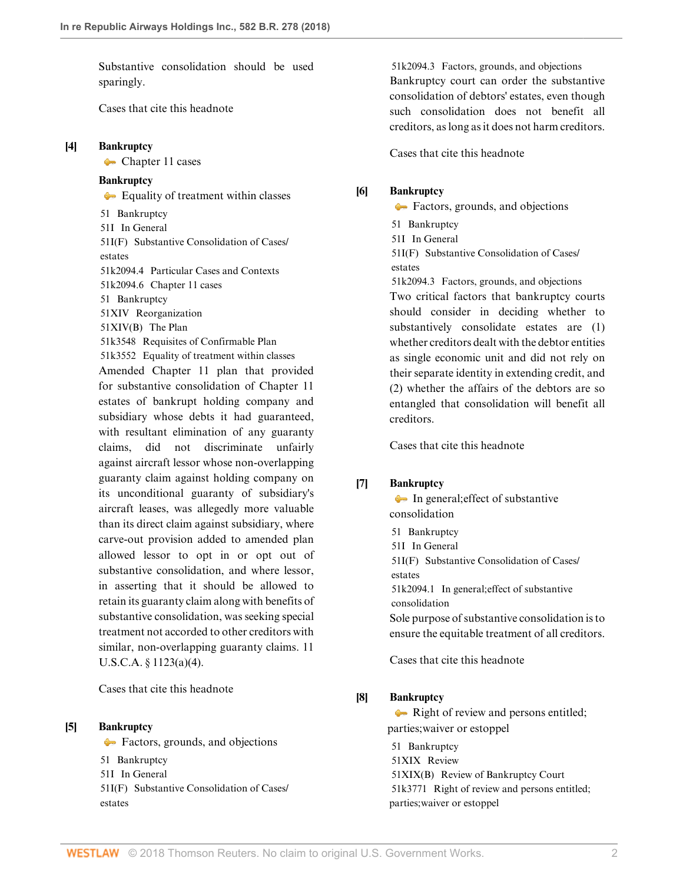Substantive consolidation should be used sparingly.

[Cases that cite this headnote](http://www.westlaw.com/Link/RelatedInformation/DocHeadnoteLink?docGuid=I623d8f7036cc11e89d46ed79fb792237&headnoteId=204422162600320180423192151&originationContext=document&vr=3.0&rs=cblt1.0&transitionType=CitingReferences&contextData=(sc.DocLink))

### <span id="page-1-0"></span>**[\[4\]](#page-4-2) [Bankruptcy](http://www.westlaw.com/Browse/Home/KeyNumber/51/View.html?docGuid=I623d8f7036cc11e89d46ed79fb792237&originationContext=document&vr=3.0&rs=cblt1.0&transitionType=DocumentItem&contextData=(sc.DocLink))**

[Chapter 11 cases](http://www.westlaw.com/Browse/Home/KeyNumber/51k2094.6/View.html?docGuid=I623d8f7036cc11e89d46ed79fb792237&originationContext=document&vr=3.0&rs=cblt1.0&transitionType=DocumentItem&contextData=(sc.DocLink))

## **[Bankruptcy](http://www.westlaw.com/Browse/Home/KeyNumber/51/View.html?docGuid=I623d8f7036cc11e89d46ed79fb792237&originationContext=document&vr=3.0&rs=cblt1.0&transitionType=DocumentItem&contextData=(sc.DocLink))**

[Equality of treatment within classes](http://www.westlaw.com/Browse/Home/KeyNumber/51k3552/View.html?docGuid=I623d8f7036cc11e89d46ed79fb792237&originationContext=document&vr=3.0&rs=cblt1.0&transitionType=DocumentItem&contextData=(sc.DocLink)) [51](http://www.westlaw.com/Browse/Home/KeyNumber/51/View.html?docGuid=I623d8f7036cc11e89d46ed79fb792237&originationContext=document&vr=3.0&rs=cblt1.0&transitionType=DocumentItem&contextData=(sc.DocLink)) Bankruptcy [51I](http://www.westlaw.com/Browse/Home/KeyNumber/51I/View.html?docGuid=I623d8f7036cc11e89d46ed79fb792237&originationContext=document&vr=3.0&rs=cblt1.0&transitionType=DocumentItem&contextData=(sc.DocLink)) In General [51I\(F\)](http://www.westlaw.com/Browse/Home/KeyNumber/51I(F)/View.html?docGuid=I623d8f7036cc11e89d46ed79fb792237&originationContext=document&vr=3.0&rs=cblt1.0&transitionType=DocumentItem&contextData=(sc.DocLink)) Substantive Consolidation of Cases/ estates [51k2094.4](http://www.westlaw.com/Browse/Home/KeyNumber/51k2094.4/View.html?docGuid=I623d8f7036cc11e89d46ed79fb792237&originationContext=document&vr=3.0&rs=cblt1.0&transitionType=DocumentItem&contextData=(sc.DocLink)) Particular Cases and Contexts [51k2094.6](http://www.westlaw.com/Browse/Home/KeyNumber/51k2094.6/View.html?docGuid=I623d8f7036cc11e89d46ed79fb792237&originationContext=document&vr=3.0&rs=cblt1.0&transitionType=DocumentItem&contextData=(sc.DocLink)) Chapter 11 cases [51](http://www.westlaw.com/Browse/Home/KeyNumber/51/View.html?docGuid=I623d8f7036cc11e89d46ed79fb792237&originationContext=document&vr=3.0&rs=cblt1.0&transitionType=DocumentItem&contextData=(sc.DocLink)) Bankruptcy [51XIV](http://www.westlaw.com/Browse/Home/KeyNumber/51XIV/View.html?docGuid=I623d8f7036cc11e89d46ed79fb792237&originationContext=document&vr=3.0&rs=cblt1.0&transitionType=DocumentItem&contextData=(sc.DocLink)) Reorganization [51XIV\(B\)](http://www.westlaw.com/Browse/Home/KeyNumber/51XIV(B)/View.html?docGuid=I623d8f7036cc11e89d46ed79fb792237&originationContext=document&vr=3.0&rs=cblt1.0&transitionType=DocumentItem&contextData=(sc.DocLink)) The Plan [51k3548](http://www.westlaw.com/Browse/Home/KeyNumber/51k3548/View.html?docGuid=I623d8f7036cc11e89d46ed79fb792237&originationContext=document&vr=3.0&rs=cblt1.0&transitionType=DocumentItem&contextData=(sc.DocLink)) Requisites of Confirmable Plan [51k3552](http://www.westlaw.com/Browse/Home/KeyNumber/51k3552/View.html?docGuid=I623d8f7036cc11e89d46ed79fb792237&originationContext=document&vr=3.0&rs=cblt1.0&transitionType=DocumentItem&contextData=(sc.DocLink)) Equality of treatment within classes Amended Chapter 11 plan that provided for substantive consolidation of Chapter 11 estates of bankrupt holding company and subsidiary whose debts it had guaranteed, with resultant elimination of any guaranty claims, did not discriminate unfairly against aircraft lessor whose non-overlapping guaranty claim against holding company on its unconditional guaranty of subsidiary's aircraft leases, was allegedly more valuable than its direct claim against subsidiary, where carve-out provision added to amended plan allowed lessor to opt in or opt out of substantive consolidation, and where lessor, in asserting that it should be allowed to retain its guaranty claim along with benefits of substantive consolidation, was seeking special treatment not accorded to other creditors with similar, non-overlapping guaranty claims. [11](http://www.westlaw.com/Link/Document/FullText?findType=L&pubNum=1000546&cite=11USCAS1123&originatingDoc=I623d8f7036cc11e89d46ed79fb792237&refType=SP&originationContext=document&vr=3.0&rs=cblt1.0&transitionType=DocumentItem&contextData=(sc.DocLink)#co_pp_d40e000072291) [U.S.C.A. § 1123\(a\)\(4\)](http://www.westlaw.com/Link/Document/FullText?findType=L&pubNum=1000546&cite=11USCAS1123&originatingDoc=I623d8f7036cc11e89d46ed79fb792237&refType=SP&originationContext=document&vr=3.0&rs=cblt1.0&transitionType=DocumentItem&contextData=(sc.DocLink)#co_pp_d40e000072291).

[Cases that cite this headnote](http://www.westlaw.com/Link/RelatedInformation/DocHeadnoteLink?docGuid=I623d8f7036cc11e89d46ed79fb792237&headnoteId=204422162600520180423192151&originationContext=document&vr=3.0&rs=cblt1.0&transitionType=CitingReferences&contextData=(sc.DocLink))

## <span id="page-1-2"></span>**[\[5\]](#page-5-0) [Bankruptcy](http://www.westlaw.com/Browse/Home/KeyNumber/51/View.html?docGuid=I623d8f7036cc11e89d46ed79fb792237&originationContext=document&vr=3.0&rs=cblt1.0&transitionType=DocumentItem&contextData=(sc.DocLink))**

[Factors, grounds, and objections](http://www.westlaw.com/Browse/Home/KeyNumber/51k2094.3/View.html?docGuid=I623d8f7036cc11e89d46ed79fb792237&originationContext=document&vr=3.0&rs=cblt1.0&transitionType=DocumentItem&contextData=(sc.DocLink)) [51](http://www.westlaw.com/Browse/Home/KeyNumber/51/View.html?docGuid=I623d8f7036cc11e89d46ed79fb792237&originationContext=document&vr=3.0&rs=cblt1.0&transitionType=DocumentItem&contextData=(sc.DocLink)) Bankruptcy [51I](http://www.westlaw.com/Browse/Home/KeyNumber/51I/View.html?docGuid=I623d8f7036cc11e89d46ed79fb792237&originationContext=document&vr=3.0&rs=cblt1.0&transitionType=DocumentItem&contextData=(sc.DocLink)) In General [51I\(F\)](http://www.westlaw.com/Browse/Home/KeyNumber/51I(F)/View.html?docGuid=I623d8f7036cc11e89d46ed79fb792237&originationContext=document&vr=3.0&rs=cblt1.0&transitionType=DocumentItem&contextData=(sc.DocLink)) Substantive Consolidation of Cases/ estates

[51k2094.3](http://www.westlaw.com/Browse/Home/KeyNumber/51k2094.3/View.html?docGuid=I623d8f7036cc11e89d46ed79fb792237&originationContext=document&vr=3.0&rs=cblt1.0&transitionType=DocumentItem&contextData=(sc.DocLink)) Factors, grounds, and objections Bankruptcy court can order the substantive consolidation of debtors' estates, even though such consolidation does not benefit all creditors, as long as it does not harm creditors.

[Cases that cite this headnote](http://www.westlaw.com/Link/RelatedInformation/DocHeadnoteLink?docGuid=I623d8f7036cc11e89d46ed79fb792237&headnoteId=204422162600420180423192151&originationContext=document&vr=3.0&rs=cblt1.0&transitionType=CitingReferences&contextData=(sc.DocLink))

### <span id="page-1-3"></span>**[\[6\]](#page-5-1) [Bankruptcy](http://www.westlaw.com/Browse/Home/KeyNumber/51/View.html?docGuid=I623d8f7036cc11e89d46ed79fb792237&originationContext=document&vr=3.0&rs=cblt1.0&transitionType=DocumentItem&contextData=(sc.DocLink))**

**Factors**, grounds, and objections [51](http://www.westlaw.com/Browse/Home/KeyNumber/51/View.html?docGuid=I623d8f7036cc11e89d46ed79fb792237&originationContext=document&vr=3.0&rs=cblt1.0&transitionType=DocumentItem&contextData=(sc.DocLink)) Bankruptcy [51I](http://www.westlaw.com/Browse/Home/KeyNumber/51I/View.html?docGuid=I623d8f7036cc11e89d46ed79fb792237&originationContext=document&vr=3.0&rs=cblt1.0&transitionType=DocumentItem&contextData=(sc.DocLink)) In General [51I\(F\)](http://www.westlaw.com/Browse/Home/KeyNumber/51I(F)/View.html?docGuid=I623d8f7036cc11e89d46ed79fb792237&originationContext=document&vr=3.0&rs=cblt1.0&transitionType=DocumentItem&contextData=(sc.DocLink)) Substantive Consolidation of Cases/ estates [51k2094.3](http://www.westlaw.com/Browse/Home/KeyNumber/51k2094.3/View.html?docGuid=I623d8f7036cc11e89d46ed79fb792237&originationContext=document&vr=3.0&rs=cblt1.0&transitionType=DocumentItem&contextData=(sc.DocLink)) Factors, grounds, and objections Two critical factors that bankruptcy courts

should consider in deciding whether to substantively consolidate estates are (1) whether creditors dealt with the debtor entities as single economic unit and did not rely on their separate identity in extending credit, and (2) whether the affairs of the debtors are so entangled that consolidation will benefit all creditors.

[Cases that cite this headnote](http://www.westlaw.com/Link/RelatedInformation/DocHeadnoteLink?docGuid=I623d8f7036cc11e89d46ed79fb792237&headnoteId=204422162600620180423192151&originationContext=document&vr=3.0&rs=cblt1.0&transitionType=CitingReferences&contextData=(sc.DocLink))

## <span id="page-1-4"></span>**[\[7\]](#page-5-2) [Bankruptcy](http://www.westlaw.com/Browse/Home/KeyNumber/51/View.html?docGuid=I623d8f7036cc11e89d46ed79fb792237&originationContext=document&vr=3.0&rs=cblt1.0&transitionType=DocumentItem&contextData=(sc.DocLink))**

[In general; effect of substantive](http://www.westlaw.com/Browse/Home/KeyNumber/51k2094.1/View.html?docGuid=I623d8f7036cc11e89d46ed79fb792237&originationContext=document&vr=3.0&rs=cblt1.0&transitionType=DocumentItem&contextData=(sc.DocLink)) [consolidation](http://www.westlaw.com/Browse/Home/KeyNumber/51k2094.1/View.html?docGuid=I623d8f7036cc11e89d46ed79fb792237&originationContext=document&vr=3.0&rs=cblt1.0&transitionType=DocumentItem&contextData=(sc.DocLink))

[51](http://www.westlaw.com/Browse/Home/KeyNumber/51/View.html?docGuid=I623d8f7036cc11e89d46ed79fb792237&originationContext=document&vr=3.0&rs=cblt1.0&transitionType=DocumentItem&contextData=(sc.DocLink)) Bankruptcy [51I](http://www.westlaw.com/Browse/Home/KeyNumber/51I/View.html?docGuid=I623d8f7036cc11e89d46ed79fb792237&originationContext=document&vr=3.0&rs=cblt1.0&transitionType=DocumentItem&contextData=(sc.DocLink)) In General [51I\(F\)](http://www.westlaw.com/Browse/Home/KeyNumber/51I(F)/View.html?docGuid=I623d8f7036cc11e89d46ed79fb792237&originationContext=document&vr=3.0&rs=cblt1.0&transitionType=DocumentItem&contextData=(sc.DocLink)) Substantive Consolidation of Cases/ estates [51k2094.1](http://www.westlaw.com/Browse/Home/KeyNumber/51k2094.1/View.html?docGuid=I623d8f7036cc11e89d46ed79fb792237&originationContext=document&vr=3.0&rs=cblt1.0&transitionType=DocumentItem&contextData=(sc.DocLink)) In general; effect of substantive consolidation Sole purpose of substantive consolidation is to ensure the equitable treatment of all creditors.

[Cases that cite this headnote](http://www.westlaw.com/Link/RelatedInformation/DocHeadnoteLink?docGuid=I623d8f7036cc11e89d46ed79fb792237&headnoteId=204422162600720180423192151&originationContext=document&vr=3.0&rs=cblt1.0&transitionType=CitingReferences&contextData=(sc.DocLink))

## <span id="page-1-1"></span>**[\[8\]](#page-6-0) [Bankruptcy](http://www.westlaw.com/Browse/Home/KeyNumber/51/View.html?docGuid=I623d8f7036cc11e89d46ed79fb792237&originationContext=document&vr=3.0&rs=cblt1.0&transitionType=DocumentItem&contextData=(sc.DocLink))**

Right of review and persons entitled;  [parties; waiver or estoppel](http://www.westlaw.com/Browse/Home/KeyNumber/51k3771/View.html?docGuid=I623d8f7036cc11e89d46ed79fb792237&originationContext=document&vr=3.0&rs=cblt1.0&transitionType=DocumentItem&contextData=(sc.DocLink))

[51](http://www.westlaw.com/Browse/Home/KeyNumber/51/View.html?docGuid=I623d8f7036cc11e89d46ed79fb792237&originationContext=document&vr=3.0&rs=cblt1.0&transitionType=DocumentItem&contextData=(sc.DocLink)) Bankruptcy [51XIX](http://www.westlaw.com/Browse/Home/KeyNumber/51XIX/View.html?docGuid=I623d8f7036cc11e89d46ed79fb792237&originationContext=document&vr=3.0&rs=cblt1.0&transitionType=DocumentItem&contextData=(sc.DocLink)) Review [51XIX\(B\)](http://www.westlaw.com/Browse/Home/KeyNumber/51XIX(B)/View.html?docGuid=I623d8f7036cc11e89d46ed79fb792237&originationContext=document&vr=3.0&rs=cblt1.0&transitionType=DocumentItem&contextData=(sc.DocLink)) Review of Bankruptcy Court [51k3771](http://www.westlaw.com/Browse/Home/KeyNumber/51k3771/View.html?docGuid=I623d8f7036cc11e89d46ed79fb792237&originationContext=document&vr=3.0&rs=cblt1.0&transitionType=DocumentItem&contextData=(sc.DocLink)) Right of review and persons entitled; parties; waiver or estoppel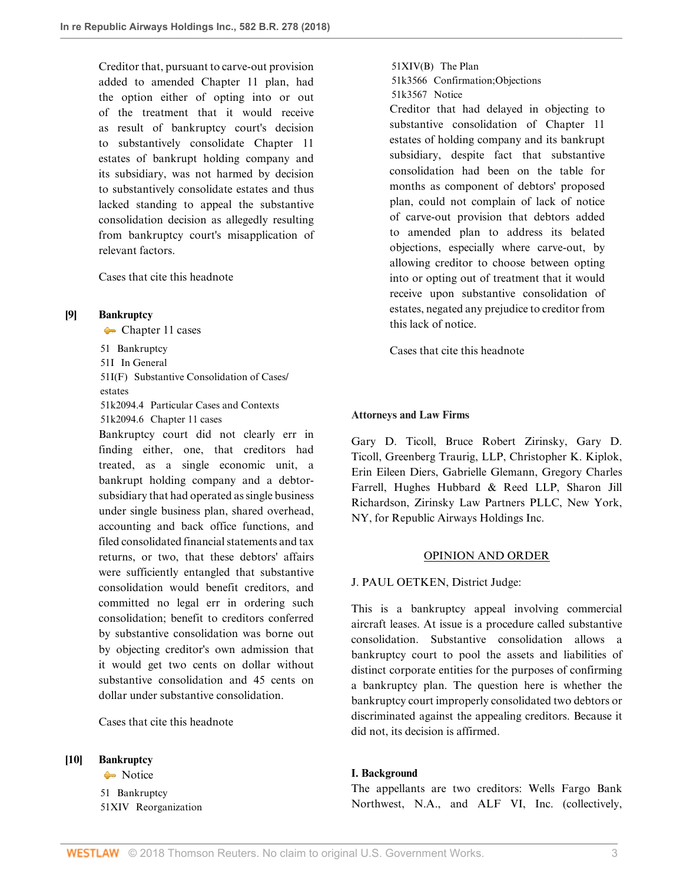Creditor that, pursuant to carve-out provision added to amended Chapter 11 plan, had the option either of opting into or out of the treatment that it would receive as result of bankruptcy court's decision to substantively consolidate Chapter 11 estates of bankrupt holding company and its subsidiary, was not harmed by decision to substantively consolidate estates and thus lacked standing to appeal the substantive consolidation decision as allegedly resulting from bankruptcy court's misapplication of relevant factors.

[Cases that cite this headnote](http://www.westlaw.com/Link/RelatedInformation/DocHeadnoteLink?docGuid=I623d8f7036cc11e89d46ed79fb792237&headnoteId=204422162600820180423192151&originationContext=document&vr=3.0&rs=cblt1.0&transitionType=CitingReferences&contextData=(sc.DocLink))

## <span id="page-2-0"></span>**[\[9\]](#page-6-1) [Bankruptcy](http://www.westlaw.com/Browse/Home/KeyNumber/51/View.html?docGuid=I623d8f7036cc11e89d46ed79fb792237&originationContext=document&vr=3.0&rs=cblt1.0&transitionType=DocumentItem&contextData=(sc.DocLink))**

[Chapter 11 cases](http://www.westlaw.com/Browse/Home/KeyNumber/51k2094.6/View.html?docGuid=I623d8f7036cc11e89d46ed79fb792237&originationContext=document&vr=3.0&rs=cblt1.0&transitionType=DocumentItem&contextData=(sc.DocLink))

[51](http://www.westlaw.com/Browse/Home/KeyNumber/51/View.html?docGuid=I623d8f7036cc11e89d46ed79fb792237&originationContext=document&vr=3.0&rs=cblt1.0&transitionType=DocumentItem&contextData=(sc.DocLink)) Bankruptcy [51I](http://www.westlaw.com/Browse/Home/KeyNumber/51I/View.html?docGuid=I623d8f7036cc11e89d46ed79fb792237&originationContext=document&vr=3.0&rs=cblt1.0&transitionType=DocumentItem&contextData=(sc.DocLink)) In General [51I\(F\)](http://www.westlaw.com/Browse/Home/KeyNumber/51I(F)/View.html?docGuid=I623d8f7036cc11e89d46ed79fb792237&originationContext=document&vr=3.0&rs=cblt1.0&transitionType=DocumentItem&contextData=(sc.DocLink)) Substantive Consolidation of Cases/ estates [51k2094.4](http://www.westlaw.com/Browse/Home/KeyNumber/51k2094.4/View.html?docGuid=I623d8f7036cc11e89d46ed79fb792237&originationContext=document&vr=3.0&rs=cblt1.0&transitionType=DocumentItem&contextData=(sc.DocLink)) Particular Cases and Contexts [51k2094.6](http://www.westlaw.com/Browse/Home/KeyNumber/51k2094.6/View.html?docGuid=I623d8f7036cc11e89d46ed79fb792237&originationContext=document&vr=3.0&rs=cblt1.0&transitionType=DocumentItem&contextData=(sc.DocLink)) Chapter 11 cases

Bankruptcy court did not clearly err in finding either, one, that creditors had treated, as a single economic unit, a bankrupt holding company and a debtorsubsidiary that had operated as single business under single business plan, shared overhead, accounting and back office functions, and filed consolidated financial statements and tax returns, or two, that these debtors' affairs were sufficiently entangled that substantive consolidation would benefit creditors, and committed no legal err in ordering such consolidation; benefit to creditors conferred by substantive consolidation was borne out by objecting creditor's own admission that it would get two cents on dollar without substantive consolidation and 45 cents on dollar under substantive consolidation.

[Cases that cite this headnote](http://www.westlaw.com/Link/RelatedInformation/DocHeadnoteLink?docGuid=I623d8f7036cc11e89d46ed79fb792237&headnoteId=204422162600920180423192151&originationContext=document&vr=3.0&rs=cblt1.0&transitionType=CitingReferences&contextData=(sc.DocLink))

#### <span id="page-2-1"></span>**[\[10\]](#page-6-2) [Bankruptcy](http://www.westlaw.com/Browse/Home/KeyNumber/51/View.html?docGuid=I623d8f7036cc11e89d46ed79fb792237&originationContext=document&vr=3.0&rs=cblt1.0&transitionType=DocumentItem&contextData=(sc.DocLink))**

[Notice](http://www.westlaw.com/Browse/Home/KeyNumber/51k3567/View.html?docGuid=I623d8f7036cc11e89d46ed79fb792237&originationContext=document&vr=3.0&rs=cblt1.0&transitionType=DocumentItem&contextData=(sc.DocLink)) Notice [51](http://www.westlaw.com/Browse/Home/KeyNumber/51/View.html?docGuid=I623d8f7036cc11e89d46ed79fb792237&originationContext=document&vr=3.0&rs=cblt1.0&transitionType=DocumentItem&contextData=(sc.DocLink)) Bankruptcy [51XIV](http://www.westlaw.com/Browse/Home/KeyNumber/51XIV/View.html?docGuid=I623d8f7036cc11e89d46ed79fb792237&originationContext=document&vr=3.0&rs=cblt1.0&transitionType=DocumentItem&contextData=(sc.DocLink)) Reorganization [51XIV\(B\)](http://www.westlaw.com/Browse/Home/KeyNumber/51XIV(B)/View.html?docGuid=I623d8f7036cc11e89d46ed79fb792237&originationContext=document&vr=3.0&rs=cblt1.0&transitionType=DocumentItem&contextData=(sc.DocLink)) The Plan

[51k3566](http://www.westlaw.com/Browse/Home/KeyNumber/51k3566/View.html?docGuid=I623d8f7036cc11e89d46ed79fb792237&originationContext=document&vr=3.0&rs=cblt1.0&transitionType=DocumentItem&contextData=(sc.DocLink)) Confirmation; Objections [51k3567](http://www.westlaw.com/Browse/Home/KeyNumber/51k3567/View.html?docGuid=I623d8f7036cc11e89d46ed79fb792237&originationContext=document&vr=3.0&rs=cblt1.0&transitionType=DocumentItem&contextData=(sc.DocLink)) Notice

Creditor that had delayed in objecting to substantive consolidation of Chapter 11 estates of holding company and its bankrupt subsidiary, despite fact that substantive consolidation had been on the table for months as component of debtors' proposed plan, could not complain of lack of notice of carve-out provision that debtors added to amended plan to address its belated objections, especially where carve-out, by allowing creditor to choose between opting into or opting out of treatment that it would receive upon substantive consolidation of estates, negated any prejudice to creditor from this lack of notice.

[Cases that cite this headnote](http://www.westlaw.com/Link/RelatedInformation/DocHeadnoteLink?docGuid=I623d8f7036cc11e89d46ed79fb792237&headnoteId=204422162601020180423192151&originationContext=document&vr=3.0&rs=cblt1.0&transitionType=CitingReferences&contextData=(sc.DocLink))

### **Attorneys and Law Firms**

[Gary D. Ticoll,](http://www.westlaw.com/Link/Document/FullText?findType=h&pubNum=176284&cite=0325130001&originatingDoc=I623d8f7036cc11e89d46ed79fb792237&refType=RQ&originationContext=document&vr=3.0&rs=cblt1.0&transitionType=DocumentItem&contextData=(sc.DocLink)) [Bruce Robert Zirinsky](http://www.westlaw.com/Link/Document/FullText?findType=h&pubNum=176284&cite=0190519401&originatingDoc=I623d8f7036cc11e89d46ed79fb792237&refType=RQ&originationContext=document&vr=3.0&rs=cblt1.0&transitionType=DocumentItem&contextData=(sc.DocLink)), [Gary D.](http://www.westlaw.com/Link/Document/FullText?findType=h&pubNum=176284&cite=0325130001&originatingDoc=I623d8f7036cc11e89d46ed79fb792237&refType=RQ&originationContext=document&vr=3.0&rs=cblt1.0&transitionType=DocumentItem&contextData=(sc.DocLink)) [Ticoll,](http://www.westlaw.com/Link/Document/FullText?findType=h&pubNum=176284&cite=0325130001&originatingDoc=I623d8f7036cc11e89d46ed79fb792237&refType=RQ&originationContext=document&vr=3.0&rs=cblt1.0&transitionType=DocumentItem&contextData=(sc.DocLink)) Greenberg Traurig, LLP, [Christopher K. Kiplok](http://www.westlaw.com/Link/Document/FullText?findType=h&pubNum=176284&cite=0328217901&originatingDoc=I623d8f7036cc11e89d46ed79fb792237&refType=RQ&originationContext=document&vr=3.0&rs=cblt1.0&transitionType=DocumentItem&contextData=(sc.DocLink)), [Erin Eileen Diers](http://www.westlaw.com/Link/Document/FullText?findType=h&pubNum=176284&cite=0461092301&originatingDoc=I623d8f7036cc11e89d46ed79fb792237&refType=RQ&originationContext=document&vr=3.0&rs=cblt1.0&transitionType=DocumentItem&contextData=(sc.DocLink)), [Gabrielle Glemann,](http://www.westlaw.com/Link/Document/FullText?findType=h&pubNum=176284&cite=0375843701&originatingDoc=I623d8f7036cc11e89d46ed79fb792237&refType=RQ&originationContext=document&vr=3.0&rs=cblt1.0&transitionType=DocumentItem&contextData=(sc.DocLink)) [Gregory Charles](http://www.westlaw.com/Link/Document/FullText?findType=h&pubNum=176284&cite=0430320601&originatingDoc=I623d8f7036cc11e89d46ed79fb792237&refType=RQ&originationContext=document&vr=3.0&rs=cblt1.0&transitionType=DocumentItem&contextData=(sc.DocLink)) [Farrell](http://www.westlaw.com/Link/Document/FullText?findType=h&pubNum=176284&cite=0430320601&originatingDoc=I623d8f7036cc11e89d46ed79fb792237&refType=RQ&originationContext=document&vr=3.0&rs=cblt1.0&transitionType=DocumentItem&contextData=(sc.DocLink)), Hughes Hubbard & Reed LLP, [Sharon Jill](http://www.westlaw.com/Link/Document/FullText?findType=h&pubNum=176284&cite=0121910301&originatingDoc=I623d8f7036cc11e89d46ed79fb792237&refType=RQ&originationContext=document&vr=3.0&rs=cblt1.0&transitionType=DocumentItem&contextData=(sc.DocLink)) [Richardson,](http://www.westlaw.com/Link/Document/FullText?findType=h&pubNum=176284&cite=0121910301&originatingDoc=I623d8f7036cc11e89d46ed79fb792237&refType=RQ&originationContext=document&vr=3.0&rs=cblt1.0&transitionType=DocumentItem&contextData=(sc.DocLink)) Zirinsky Law Partners PLLC, New York, NY, for Republic Airways Holdings Inc.

#### OPINION AND ORDER

## [J. PAUL OETKEN,](http://www.westlaw.com/Link/Document/FullText?findType=h&pubNum=176284&cite=0327718301&originatingDoc=I623d8f7036cc11e89d46ed79fb792237&refType=RQ&originationContext=document&vr=3.0&rs=cblt1.0&transitionType=DocumentItem&contextData=(sc.DocLink)) District Judge:

This is a bankruptcy appeal involving commercial aircraft leases. At issue is a procedure called substantive consolidation. Substantive consolidation allows a bankruptcy court to pool the assets and liabilities of distinct corporate entities for the purposes of confirming a bankruptcy plan. The question here is whether the bankruptcy court improperly consolidated two debtors or discriminated against the appealing creditors. Because it did not, its decision is affirmed.

## **I. Background**

The appellants are two creditors: Wells Fargo Bank Northwest, N.A., and ALF VI, Inc. (collectively,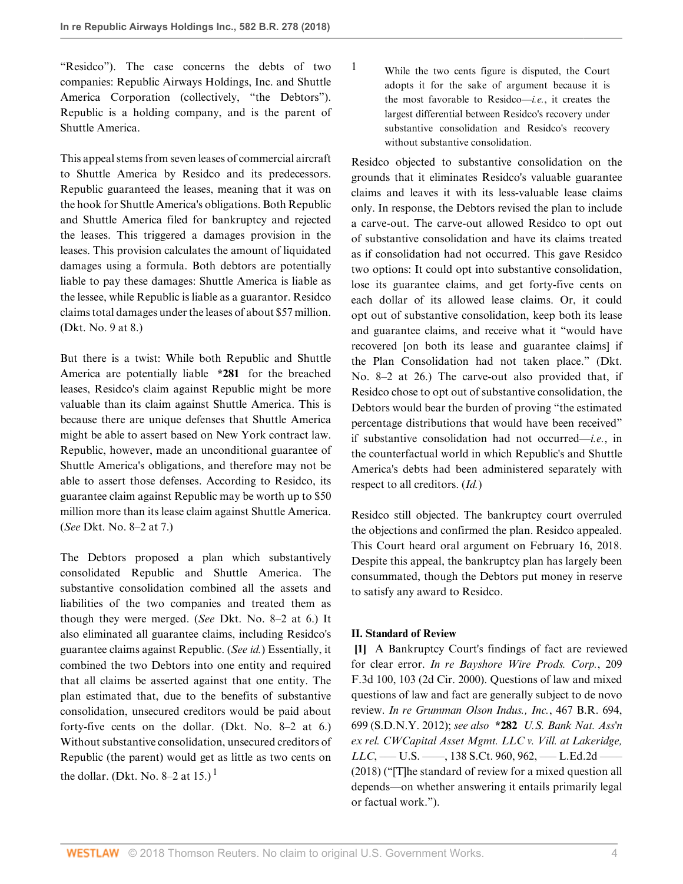"Residco"). The case concerns the debts of two companies: Republic Airways Holdings, Inc. and Shuttle America Corporation (collectively, "the Debtors"). Republic is a holding company, and is the parent of Shuttle America.

This appeal stems from seven leases of commercial aircraft to Shuttle America by Residco and its predecessors. Republic guaranteed the leases, meaning that it was on the hook for Shuttle America's obligations. Both Republic and Shuttle America filed for bankruptcy and rejected the leases. This triggered a damages provision in the leases. This provision calculates the amount of liquidated damages using a formula. Both debtors are potentially liable to pay these damages: Shuttle America is liable as the lessee, while Republic is liable as a guarantor. Residco claims total damages under the leases of about \$57 million. (Dkt. No. 9 at 8.)

But there is a twist: While both Republic and Shuttle America are potentially liable **\*281** for the breached leases, Residco's claim against Republic might be more valuable than its claim against Shuttle America. This is because there are unique defenses that Shuttle America might be able to assert based on New York contract law. Republic, however, made an unconditional guarantee of Shuttle America's obligations, and therefore may not be able to assert those defenses. According to Residco, its guarantee claim against Republic may be worth up to \$50 million more than its lease claim against Shuttle America. (*See* Dkt. No. 8–2 at 7.)

The Debtors proposed a plan which substantively consolidated Republic and Shuttle America. The substantive consolidation combined all the assets and liabilities of the two companies and treated them as though they were merged. (*See* Dkt. No. 8–2 at 6.) It also eliminated all guarantee claims, including Residco's guarantee claims against Republic. (*See id.*) Essentially, it combined the two Debtors into one entity and required that all claims be asserted against that one entity. The plan estimated that, due to the benefits of substantive consolidation, unsecured creditors would be paid about forty-five cents on the dollar. (Dkt. No. 8–2 at 6.) Without substantive consolidation, unsecured creditors of Republic (the parent) would get as little as two cents on the dollar. (Dkt. No. 8–2 at [1](#page-3-1)5.)<sup>1</sup>

<span id="page-3-1"></span>[1](#page-3-2) While the two cents figure is disputed, the Court adopts it for the sake of argument because it is the most favorable to Residco—*i.e.*, it creates the largest differential between Residco's recovery under substantive consolidation and Residco's recovery without substantive consolidation.

Residco objected to substantive consolidation on the grounds that it eliminates Residco's valuable guarantee claims and leaves it with its less-valuable lease claims only. In response, the Debtors revised the plan to include a carve-out. The carve-out allowed Residco to opt out of substantive consolidation and have its claims treated as if consolidation had not occurred. This gave Residco two options: It could opt into substantive consolidation, lose its guarantee claims, and get forty-five cents on each dollar of its allowed lease claims. Or, it could opt out of substantive consolidation, keep both its lease and guarantee claims, and receive what it "would have recovered [on both its lease and guarantee claims] if the Plan Consolidation had not taken place." (Dkt. No. 8–2 at 26.) The carve-out also provided that, if Residco chose to opt out of substantive consolidation, the Debtors would bear the burden of proving "the estimated percentage distributions that would have been received" if substantive consolidation had not occurred—*i.e.*, in the counterfactual world in which Republic's and Shuttle America's debts had been administered separately with respect to all creditors. (*Id.*)

Residco still objected. The bankruptcy court overruled the objections and confirmed the plan. Residco appealed. This Court heard oral argument on February 16, 2018. Despite this appeal, the bankruptcy plan has largely been consummated, though the Debtors put money in reserve to satisfy any award to Residco.

# **II. Standard of Review**

<span id="page-3-2"></span><span id="page-3-0"></span>**[\[1](#page-0-0)]** A Bankruptcy Court's findings of fact are reviewed for clear error. *[In re Bayshore Wire Prods. Corp.](http://www.westlaw.com/Link/Document/FullText?findType=Y&serNum=2000092373&pubNum=0000506&originatingDoc=I623d8f7036cc11e89d46ed79fb792237&refType=RP&fi=co_pp_sp_506_103&originationContext=document&vr=3.0&rs=cblt1.0&transitionType=DocumentItem&contextData=(sc.DocLink)#co_pp_sp_506_103)*, 209 [F.3d 100, 103 \(2d Cir. 2000\)](http://www.westlaw.com/Link/Document/FullText?findType=Y&serNum=2000092373&pubNum=0000506&originatingDoc=I623d8f7036cc11e89d46ed79fb792237&refType=RP&fi=co_pp_sp_506_103&originationContext=document&vr=3.0&rs=cblt1.0&transitionType=DocumentItem&contextData=(sc.DocLink)#co_pp_sp_506_103). Questions of law and mixed questions of law and fact are generally subject to de novo review. *[In re Grumman Olson Indus., Inc.](http://www.westlaw.com/Link/Document/FullText?findType=Y&serNum=2027400184&pubNum=0000164&originatingDoc=I623d8f7036cc11e89d46ed79fb792237&refType=RP&fi=co_pp_sp_164_699&originationContext=document&vr=3.0&rs=cblt1.0&transitionType=DocumentItem&contextData=(sc.DocLink)#co_pp_sp_164_699)*, 467 B.R. 694, [699 \(S.D.N.Y. 2012\);](http://www.westlaw.com/Link/Document/FullText?findType=Y&serNum=2027400184&pubNum=0000164&originatingDoc=I623d8f7036cc11e89d46ed79fb792237&refType=RP&fi=co_pp_sp_164_699&originationContext=document&vr=3.0&rs=cblt1.0&transitionType=DocumentItem&contextData=(sc.DocLink)#co_pp_sp_164_699) *see also* **\*282** *[U.S. Bank Nat. Ass'n](http://www.westlaw.com/Link/Document/FullText?findType=Y&serNum=2043943586&pubNum=0000708&originatingDoc=I623d8f7036cc11e89d46ed79fb792237&refType=RP&fi=co_pp_sp_708_962&originationContext=document&vr=3.0&rs=cblt1.0&transitionType=DocumentItem&contextData=(sc.DocLink)#co_pp_sp_708_962) [ex rel. CWCapital Asset Mgmt. LLC v. Vill. at Lakeridge,](http://www.westlaw.com/Link/Document/FullText?findType=Y&serNum=2043943586&pubNum=0000708&originatingDoc=I623d8f7036cc11e89d46ed79fb792237&refType=RP&fi=co_pp_sp_708_962&originationContext=document&vr=3.0&rs=cblt1.0&transitionType=DocumentItem&contextData=(sc.DocLink)#co_pp_sp_708_962) LLC*, — U.S. — , 138 S.Ct. 960, 962, — L.Ed.2d — [\(2018\)](http://www.westlaw.com/Link/Document/FullText?findType=Y&serNum=2043943586&pubNum=0000708&originatingDoc=I623d8f7036cc11e89d46ed79fb792237&refType=RP&fi=co_pp_sp_708_962&originationContext=document&vr=3.0&rs=cblt1.0&transitionType=DocumentItem&contextData=(sc.DocLink)#co_pp_sp_708_962) ("[T]he standard of review for a mixed question all depends—on whether answering it entails primarily legal or factual work.").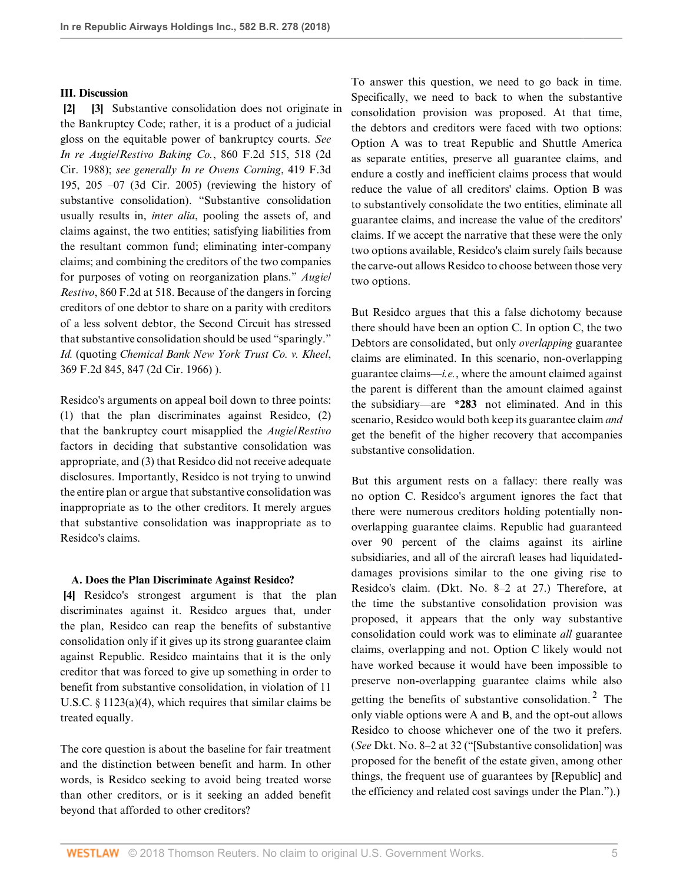#### **III. Discussion**

<span id="page-4-1"></span><span id="page-4-0"></span>**[\[2](#page-0-1)] [\[3\]](#page-0-2)** Substantive consolidation does not originate in the Bankruptcy Code; rather, it is a product of a judicial gloss on the equitable power of bankruptcy courts. *See [In re Augie/Restivo Baking Co.](http://www.westlaw.com/Link/Document/FullText?findType=Y&serNum=1988138097&pubNum=0000350&originatingDoc=I623d8f7036cc11e89d46ed79fb792237&refType=RP&fi=co_pp_sp_350_518&originationContext=document&vr=3.0&rs=cblt1.0&transitionType=DocumentItem&contextData=(sc.DocLink)#co_pp_sp_350_518)*, 860 F.2d 515, 518 (2d [Cir. 1988\);](http://www.westlaw.com/Link/Document/FullText?findType=Y&serNum=1988138097&pubNum=0000350&originatingDoc=I623d8f7036cc11e89d46ed79fb792237&refType=RP&fi=co_pp_sp_350_518&originationContext=document&vr=3.0&rs=cblt1.0&transitionType=DocumentItem&contextData=(sc.DocLink)#co_pp_sp_350_518) *see generally [In re Owens Corning](http://www.westlaw.com/Link/Document/FullText?findType=Y&serNum=2007136575&pubNum=0000506&originatingDoc=I623d8f7036cc11e89d46ed79fb792237&refType=RP&fi=co_pp_sp_506_205&originationContext=document&vr=3.0&rs=cblt1.0&transitionType=DocumentItem&contextData=(sc.DocLink)#co_pp_sp_506_205)*, 419 F.3d [195, 205 –07 \(3d Cir. 2005\)](http://www.westlaw.com/Link/Document/FullText?findType=Y&serNum=2007136575&pubNum=0000506&originatingDoc=I623d8f7036cc11e89d46ed79fb792237&refType=RP&fi=co_pp_sp_506_205&originationContext=document&vr=3.0&rs=cblt1.0&transitionType=DocumentItem&contextData=(sc.DocLink)#co_pp_sp_506_205) (reviewing the history of substantive consolidation). "Substantive consolidation usually results in, *inter alia*, pooling the assets of, and claims against, the two entities; satisfying liabilities from the resultant common fund; eliminating inter-company claims; and combining the creditors of the two companies for purposes of voting on reorganization plans." *[Augie/](http://www.westlaw.com/Link/Document/FullText?findType=Y&serNum=1988138097&pubNum=0000350&originatingDoc=I623d8f7036cc11e89d46ed79fb792237&refType=RP&fi=co_pp_sp_350_518&originationContext=document&vr=3.0&rs=cblt1.0&transitionType=DocumentItem&contextData=(sc.DocLink)#co_pp_sp_350_518) Restivo*[, 860 F.2d at 518](http://www.westlaw.com/Link/Document/FullText?findType=Y&serNum=1988138097&pubNum=0000350&originatingDoc=I623d8f7036cc11e89d46ed79fb792237&refType=RP&fi=co_pp_sp_350_518&originationContext=document&vr=3.0&rs=cblt1.0&transitionType=DocumentItem&contextData=(sc.DocLink)#co_pp_sp_350_518). Because of the dangers in forcing creditors of one debtor to share on a parity with creditors of a less solvent debtor, the Second Circuit has stressed that substantive consolidation should be used "sparingly." *[Id.](http://www.westlaw.com/Link/Document/FullText?findType=Y&serNum=1988138097&pubNum=0000350&originatingDoc=I623d8f7036cc11e89d46ed79fb792237&refType=RP&originationContext=document&vr=3.0&rs=cblt1.0&transitionType=DocumentItem&contextData=(sc.DocLink))* (quoting *[Chemical Bank New York Trust Co. v. Kheel](http://www.westlaw.com/Link/Document/FullText?findType=Y&serNum=1966123293&pubNum=0000350&originatingDoc=I623d8f7036cc11e89d46ed79fb792237&refType=RP&fi=co_pp_sp_350_847&originationContext=document&vr=3.0&rs=cblt1.0&transitionType=DocumentItem&contextData=(sc.DocLink)#co_pp_sp_350_847)*, [369 F.2d 845, 847 \(2d Cir. 1966\)](http://www.westlaw.com/Link/Document/FullText?findType=Y&serNum=1966123293&pubNum=0000350&originatingDoc=I623d8f7036cc11e89d46ed79fb792237&refType=RP&fi=co_pp_sp_350_847&originationContext=document&vr=3.0&rs=cblt1.0&transitionType=DocumentItem&contextData=(sc.DocLink)#co_pp_sp_350_847) ).

Residco's arguments on appeal boil down to three points: (1) that the plan discriminates against Residco, (2) that the bankruptcy court misapplied the *[Augie/Restivo](http://www.westlaw.com/Link/Document/FullText?findType=Y&serNum=1988138097&pubNum=0000350&originatingDoc=I623d8f7036cc11e89d46ed79fb792237&refType=RP&originationContext=document&vr=3.0&rs=cblt1.0&transitionType=DocumentItem&contextData=(sc.DocLink))* factors in deciding that substantive consolidation was appropriate, and (3) that Residco did not receive adequate disclosures. Importantly, Residco is not trying to unwind the entire plan or argue that substantive consolidation was inappropriate as to the other creditors. It merely argues that substantive consolidation was inappropriate as to Residco's claims.

#### <span id="page-4-2"></span>**A. Does the Plan Discriminate Against Residco?**

**[\[4](#page-1-0)]** Residco's strongest argument is that the plan discriminates against it. Residco argues that, under the plan, Residco can reap the benefits of substantive consolidation only if it gives up its strong guarantee claim against Republic. Residco maintains that it is the only creditor that was forced to give up something in order to benefit from substantive consolidation, in violation of [11](http://www.westlaw.com/Link/Document/FullText?findType=L&pubNum=1000546&cite=11USCAS1123&originatingDoc=I623d8f7036cc11e89d46ed79fb792237&refType=SP&originationContext=document&vr=3.0&rs=cblt1.0&transitionType=DocumentItem&contextData=(sc.DocLink)#co_pp_d40e000072291) [U.S.C. § 1123\(a\)\(4\),](http://www.westlaw.com/Link/Document/FullText?findType=L&pubNum=1000546&cite=11USCAS1123&originatingDoc=I623d8f7036cc11e89d46ed79fb792237&refType=SP&originationContext=document&vr=3.0&rs=cblt1.0&transitionType=DocumentItem&contextData=(sc.DocLink)#co_pp_d40e000072291) which requires that similar claims be treated equally.

The core question is about the baseline for fair treatment and the distinction between benefit and harm. In other words, is Residco seeking to avoid being treated worse than other creditors, or is it seeking an added benefit beyond that afforded to other creditors?

To answer this question, we need to go back in time. Specifically, we need to back to when the substantive consolidation provision was proposed. At that time, the debtors and creditors were faced with two options: Option A was to treat Republic and Shuttle America as separate entities, preserve all guarantee claims, and endure a costly and inefficient claims process that would reduce the value of all creditors' claims. Option B was to substantively consolidate the two entities, eliminate all guarantee claims, and increase the value of the creditors' claims. If we accept the narrative that these were the only two options available, Residco's claim surely fails because the carve-out allows Residco to choose between those very two options.

But Residco argues that this a false dichotomy because there should have been an option C. In option C, the two Debtors are consolidated, but only *overlapping* guarantee claims are eliminated. In this scenario, non-overlapping guarantee claims—*i.e.*, where the amount claimed against the parent is different than the amount claimed against the subsidiary—are **\*283** not eliminated. And in this scenario, Residco would both keep its guarantee claim *and* get the benefit of the higher recovery that accompanies substantive consolidation.

<span id="page-4-3"></span>But this argument rests on a fallacy: there really was no option C. Residco's argument ignores the fact that there were numerous creditors holding potentially nonoverlapping guarantee claims. Republic had guaranteed over 90 percent of the claims against its airline subsidiaries, and all of the aircraft leases had liquidateddamages provisions similar to the one giving rise to Residco's claim. (Dkt. No. 8–2 at 27.) Therefore, at the time the substantive consolidation provision was proposed, it appears that the only way substantive consolidation could work was to eliminate *all* guarantee claims, overlapping and not. Option C likely would not have worked because it would have been impossible to preserve non-overlapping guarantee claims while also getting the benefits of substantive consolidation.<sup>[2](#page-5-3)</sup> The only viable options were A and B, and the opt-out allows Residco to choose whichever one of the two it prefers. (*See* Dkt. No. 8–2 at 32 ("[Substantive consolidation] was proposed for the benefit of the estate given, among other things, the frequent use of guarantees by [Republic] and the efficiency and related cost savings under the Plan.").)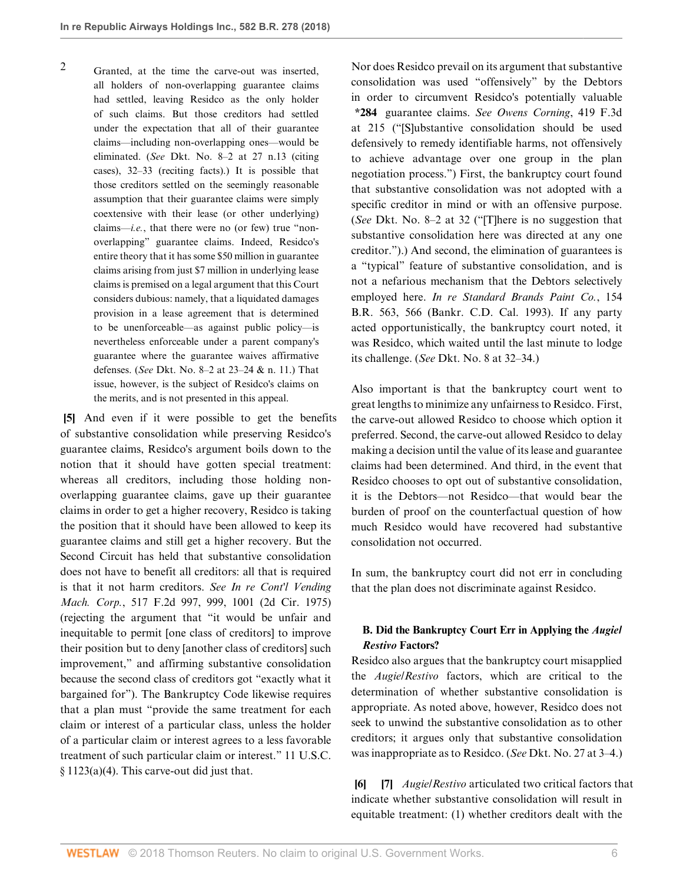<span id="page-5-3"></span>[2](#page-4-3) Granted, at the time the carve-out was inserted, all holders of non-overlapping guarantee claims had settled, leaving Residco as the only holder of such claims. But those creditors had settled under the expectation that all of their guarantee claims—including non-overlapping ones—would be eliminated. (*See* Dkt. No. 8–2 at 27 n.13 (citing cases), 32–33 (reciting facts).) It is possible that those creditors settled on the seemingly reasonable assumption that their guarantee claims were simply coextensive with their lease (or other underlying) claims—*i.e.*, that there were no (or few) true "nonoverlapping" guarantee claims. Indeed, Residco's entire theory that it has some \$50 million in guarantee claims arising from just \$7 million in underlying lease claims is premised on a legal argument that this Court considers dubious: namely, that a liquidated damages provision in a lease agreement that is determined to be unenforceable—as against public policy—is nevertheless enforceable under a parent company's guarantee where the guarantee waives affirmative defenses. (*See* Dkt. No. 8–2 at 23–24 & n. 11.) That issue, however, is the subject of Residco's claims on the merits, and is not presented in this appeal.

<span id="page-5-0"></span>**[\[5](#page-1-2)]** And even if it were possible to get the benefits of substantive consolidation while preserving Residco's guarantee claims, Residco's argument boils down to the notion that it should have gotten special treatment: whereas all creditors, including those holding nonoverlapping guarantee claims, gave up their guarantee claims in order to get a higher recovery, Residco is taking the position that it should have been allowed to keep its guarantee claims and still get a higher recovery. But the Second Circuit has held that substantive consolidation does not have to benefit all creditors: all that is required is that it not harm creditors. *See [In re Cont'l Vending](http://www.westlaw.com/Link/Document/FullText?findType=Y&serNum=1975111245&pubNum=0000350&originatingDoc=I623d8f7036cc11e89d46ed79fb792237&refType=RP&fi=co_pp_sp_350_999&originationContext=document&vr=3.0&rs=cblt1.0&transitionType=DocumentItem&contextData=(sc.DocLink)#co_pp_sp_350_999) Mach. Corp.*[, 517 F.2d 997, 999, 1001 \(2d Cir. 1975\)](http://www.westlaw.com/Link/Document/FullText?findType=Y&serNum=1975111245&pubNum=0000350&originatingDoc=I623d8f7036cc11e89d46ed79fb792237&refType=RP&fi=co_pp_sp_350_999&originationContext=document&vr=3.0&rs=cblt1.0&transitionType=DocumentItem&contextData=(sc.DocLink)#co_pp_sp_350_999) (rejecting the argument that "it would be unfair and inequitable to permit [one class of creditors] to improve their position but to deny [another class of creditors] such improvement," and affirming substantive consolidation because the second class of creditors got "exactly what it bargained for"). The Bankruptcy Code likewise requires that a plan must "provide the same treatment for each claim or interest of a particular class, unless the holder of a particular claim or interest agrees to a less favorable treatment of such particular claim or interest." [11 U.S.C.](http://www.westlaw.com/Link/Document/FullText?findType=L&pubNum=1000546&cite=11USCAS1123&originatingDoc=I623d8f7036cc11e89d46ed79fb792237&refType=SP&originationContext=document&vr=3.0&rs=cblt1.0&transitionType=DocumentItem&contextData=(sc.DocLink)#co_pp_d40e000072291)  $§ 1123(a)(4)$ . This carve-out did just that.

Nor does Residco prevail on its argument that substantive consolidation was used "offensively" by the Debtors in order to circumvent Residco's potentially valuable **\*284** guarantee claims. *See [Owens Corning](http://www.westlaw.com/Link/Document/FullText?findType=Y&serNum=2007136575&pubNum=0000506&originatingDoc=I623d8f7036cc11e89d46ed79fb792237&refType=RP&fi=co_pp_sp_506_215&originationContext=document&vr=3.0&rs=cblt1.0&transitionType=DocumentItem&contextData=(sc.DocLink)#co_pp_sp_506_215)*, 419 F.3d [at 215](http://www.westlaw.com/Link/Document/FullText?findType=Y&serNum=2007136575&pubNum=0000506&originatingDoc=I623d8f7036cc11e89d46ed79fb792237&refType=RP&fi=co_pp_sp_506_215&originationContext=document&vr=3.0&rs=cblt1.0&transitionType=DocumentItem&contextData=(sc.DocLink)#co_pp_sp_506_215) ("[S]ubstantive consolidation should be used defensively to remedy identifiable harms, not offensively to achieve advantage over one group in the plan negotiation process.") First, the bankruptcy court found that substantive consolidation was not adopted with a specific creditor in mind or with an offensive purpose. (*See* Dkt. No. 8–2 at 32 ("[T]here is no suggestion that substantive consolidation here was directed at any one creditor.").) And second, the elimination of guarantees is a "typical" feature of substantive consolidation, and is not a nefarious mechanism that the Debtors selectively employed here. *[In re Standard Brands Paint Co.](http://www.westlaw.com/Link/Document/FullText?findType=Y&serNum=1993110244&pubNum=0000164&originatingDoc=I623d8f7036cc11e89d46ed79fb792237&refType=RP&fi=co_pp_sp_164_566&originationContext=document&vr=3.0&rs=cblt1.0&transitionType=DocumentItem&contextData=(sc.DocLink)#co_pp_sp_164_566)*, 154 [B.R. 563, 566 \(Bankr. C.D. Cal. 1993\).](http://www.westlaw.com/Link/Document/FullText?findType=Y&serNum=1993110244&pubNum=0000164&originatingDoc=I623d8f7036cc11e89d46ed79fb792237&refType=RP&fi=co_pp_sp_164_566&originationContext=document&vr=3.0&rs=cblt1.0&transitionType=DocumentItem&contextData=(sc.DocLink)#co_pp_sp_164_566) If any party acted opportunistically, the bankruptcy court noted, it was Residco, which waited until the last minute to lodge its challenge. (*See* Dkt. No. 8 at 32–34.)

Also important is that the bankruptcy court went to great lengths to minimize any unfairness to Residco. First, the carve-out allowed Residco to choose which option it preferred. Second, the carve-out allowed Residco to delay making a decision until the value of its lease and guarantee claims had been determined. And third, in the event that Residco chooses to opt out of substantive consolidation, it is the Debtors—not Residco—that would bear the burden of proof on the counterfactual question of how much Residco would have recovered had substantive consolidation not occurred.

In sum, the bankruptcy court did not err in concluding that the plan does not discriminate against Residco.

# **B. Did the Bankruptcy Court Err in Applying the** *[Augie/](http://www.westlaw.com/Link/Document/FullText?findType=Y&serNum=1988138097&pubNum=0000350&originatingDoc=I623d8f7036cc11e89d46ed79fb792237&refType=RP&originationContext=document&vr=3.0&rs=cblt1.0&transitionType=DocumentItem&contextData=(sc.DocLink)) [Restivo](http://www.westlaw.com/Link/Document/FullText?findType=Y&serNum=1988138097&pubNum=0000350&originatingDoc=I623d8f7036cc11e89d46ed79fb792237&refType=RP&originationContext=document&vr=3.0&rs=cblt1.0&transitionType=DocumentItem&contextData=(sc.DocLink))* **Factors?**

Residco also argues that the bankruptcy court misapplied the *[Augie/Restivo](http://www.westlaw.com/Link/Document/FullText?findType=Y&serNum=1988138097&pubNum=0000350&originatingDoc=I623d8f7036cc11e89d46ed79fb792237&refType=RP&originationContext=document&vr=3.0&rs=cblt1.0&transitionType=DocumentItem&contextData=(sc.DocLink))* factors, which are critical to the determination of whether substantive consolidation is appropriate. As noted above, however, Residco does not seek to unwind the substantive consolidation as to other creditors; it argues only that substantive consolidation was inappropriate as to Residco. (*See* Dkt. No. 27 at 3–4.)

<span id="page-5-2"></span><span id="page-5-1"></span>**[\[6](#page-1-3)] [\[7](#page-1-4)]** *[Augie/Restivo](http://www.westlaw.com/Link/Document/FullText?findType=Y&serNum=1988138097&pubNum=0000350&originatingDoc=I623d8f7036cc11e89d46ed79fb792237&refType=RP&originationContext=document&vr=3.0&rs=cblt1.0&transitionType=DocumentItem&contextData=(sc.DocLink))* articulated two critical factors that indicate whether substantive consolidation will result in equitable treatment: (1) whether creditors dealt with the